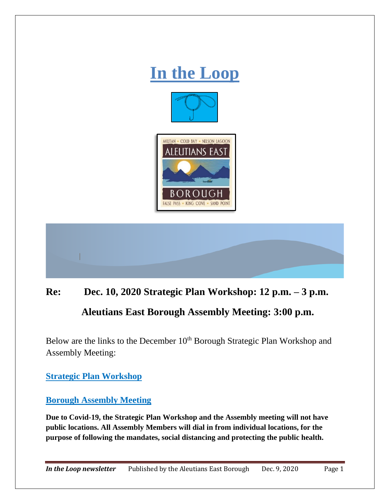

## **Re: Dec. 10, 2020 Strategic Plan Workshop: 12 p.m. – 3 p.m. Aleutians East Borough Assembly Meeting: 3:00 p.m.**

Below are the links to the December 10<sup>th</sup> Borough Strategic Plan Workshop and Assembly Meeting:

**[Strategic Plan Workshop](https://www.aleutianseast.org/vertical/sites/%7BEBDABE05-9D39-4ED4-98D4-908383A7714A%7D/uploads/AEB_2020_slide_show_v_3_printable.pdf)** 

**[Borough Assembly Meeting](https://www.aleutianseast.org/vertical/sites/%7BEBDABE05-9D39-4ED4-98D4-908383A7714A%7D/uploads/DEC_10_2020_ASSEMBLY_MEETING_PACKETreduced.pdf)**

**Due to Covid-19, the Strategic Plan Workshop and the Assembly meeting will not have public locations. All Assembly Members will dial in from individual locations, for the purpose of following the mandates, social distancing and protecting the public health.**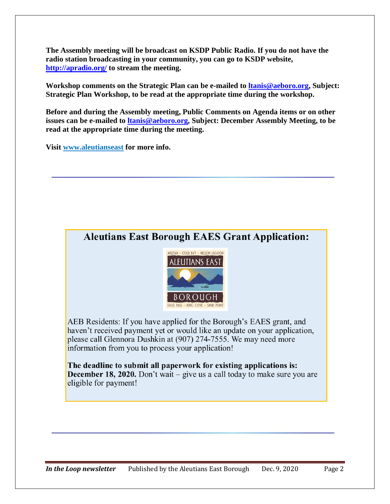**The Assembly meeting will be broadcast on KSDP Public Radio. If you do not have the radio station broadcasting in your community, you can go to KSDP website, <http://apradio.org/> to stream the meeting.**

**Workshop comments on the Strategic Plan can be e-mailed to [ltanis@aeboro.org,](mailto:ltanis@aeboro.org) Subject: Strategic Plan Workshop, to be read at the appropriate time during the workshop.** 

**Before and during the Assembly meeting, Public Comments on Agenda items or on other issues can be e-mailed to [ltanis@aeboro.org,](mailto:ltanis@aeboro.org) Subject: December Assembly Meeting, to be read at the appropriate time during the meeting.**

**Visit [www.aleutianseast](http://www.aleutianseast/) for more info.**

## **Aleutians East Borough EAES Grant Application:**



AEB Residents: If you have applied for the Borough's EAES grant, and haven't received payment yet or would like an update on your application, please call Glennora Dushkin at (907) 274-7555. We may need more information from you to process your application!

The deadline to submit all paperwork for existing applications is: **December 18, 2020.** Don't wait – give us a call today to make sure you are eligible for payment!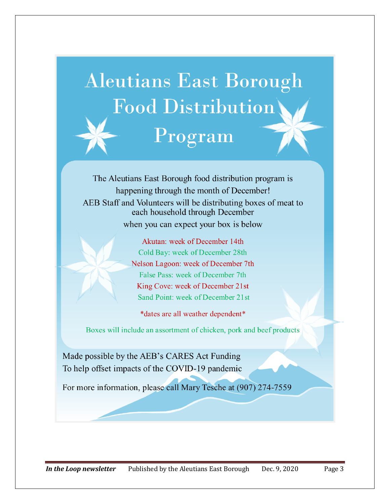

The Aleutians East Borough food distribution program is happening through the month of December! AEB Staff and Volunteers will be distributing boxes of meat to each household through December when you can expect your box is below

> Akutan: week of December 14th Cold Bay: week of December 28th Nelson Lagoon: week of December 7th False Pass: week of December 7th King Cove: week of December 21st Sand Point: week of December 21st

\*dates are all weather dependent\*

Boxes will include an assortment of chicken, pork and beef products

Made possible by the AEB's CARES Act Funding To help offset impacts of the COVID-19 pandemic

For more information, please call Mary Tesche at (907) 274-7559